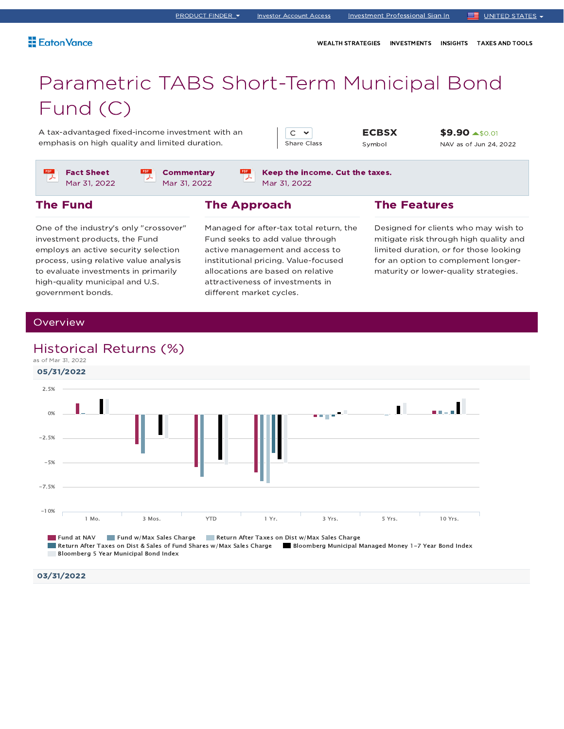WEALTH STRATEGIES INVESTMENTS INSIGHTS TAXES AND TOOLS

# Parametric TABS Short-Term Municipal Bond Fund (C)

A tax-advantaged fixed-income investment with an emphasis on high quality and limited duration.

 $C \times$ Share Class

Keep the income. Cut the taxes.

**ECBSX** Symbol

\$9.90 \$0.01 NAV as of Jun 24, 2022

Fact Sheet Mar 31, 2022

**Commentary** Mar 31, 2022

Mar 31, 2022

# The Fund

One of the industry's only "crossover" investment products, the Fund employs an active security selection process, using relative value analysis to evaluate investments in primarily high-quality municipal and U.S. government bonds.

# The Approach

 $rac{1}{\sqrt{2}}$ 

Managed for after-tax total return, the Fund seeks to add value through active management and access to institutional pricing. Value-focused allocations are based on relative attractiveness of investments in different market cycles.

### The Features

Designed for clients who may wish to mitigate risk through high quality and limited duration, or for those looking for an option to complement longermaturity or lower-quality strategies.

### **Overview**

# Historical Returns (%)



03/31/2022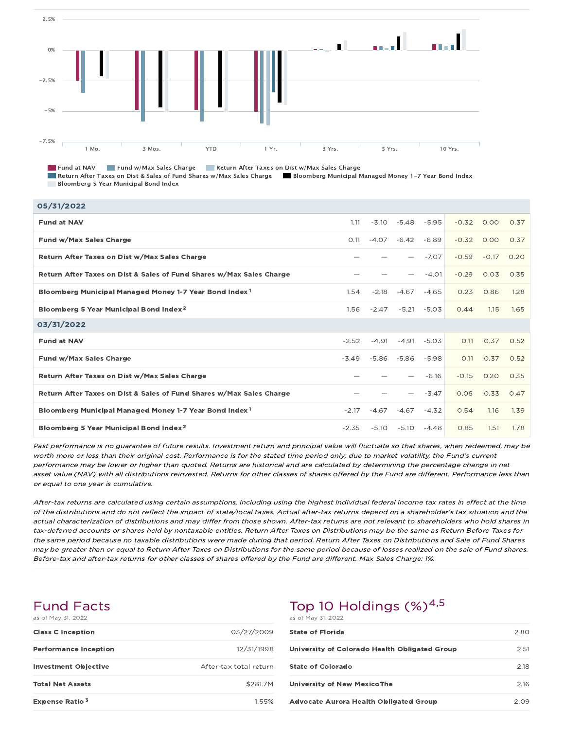

Fund at NAV Fund w/Max Sales Charge Return After Taxes on Dist w/Max Sales Charge

Return After Taxes on Dist & Sales of Fund Shares w/Max Sales Charge Bloomberg Municipal Managed Money 1-7 Year Bond Index Bloomberg 5 Year Municipal Bond Index

| 05/31/2022                                                           |         |         |         |         |         |         |      |
|----------------------------------------------------------------------|---------|---------|---------|---------|---------|---------|------|
| <b>Fund at NAV</b>                                                   | 1.11    | $-3.10$ | $-5.48$ | $-5.95$ | $-0.32$ | 0.00    | 0.37 |
| Fund w/Max Sales Charge                                              | O.11    | $-4.07$ | $-6.42$ | $-6.89$ | $-0.32$ | O.OO    | 0.37 |
| Return After Taxes on Dist w/Max Sales Charge                        |         |         |         | $-7.07$ | $-0.59$ | $-0.17$ | 0.20 |
| Return After Taxes on Dist & Sales of Fund Shares w/Max Sales Charge |         |         |         | $-4.01$ | $-0.29$ | 0.03    | 0.35 |
| Bloomberg Municipal Managed Money 1-7 Year Bond Index <sup>1</sup>   | 1.54    | $-2.18$ | $-4.67$ | $-4.65$ | 0.23    | 0.86    | 1.28 |
| Bloomberg 5 Year Municipal Bond Index <sup>2</sup>                   | 1.56    | $-2.47$ | $-5.21$ | $-5.03$ | 0.44    | 1.15    | 1.65 |
|                                                                      |         |         |         |         |         |         |      |
| 03/31/2022                                                           |         |         |         |         |         |         |      |
| <b>Fund at NAV</b>                                                   | $-2.52$ | $-4.91$ | $-4.91$ | $-5.03$ | O.11    | 0.37    | 0.52 |
| Fund w/Max Sales Charge                                              | $-3.49$ | $-5.86$ | $-5.86$ | $-5.98$ | O.11    | 0.37    | 0.52 |
| Return After Taxes on Dist w/Max Sales Charge                        |         |         |         | $-6.16$ | $-0.15$ | 0.20    | 0.35 |
| Return After Taxes on Dist & Sales of Fund Shares w/Max Sales Charge |         |         |         | $-3.47$ | 0.06    | 0.33    | O.47 |
| Bloomberg Municipal Managed Money 1-7 Year Bond Index <sup>1</sup>   | $-2.17$ | -4.67   | $-4.67$ | $-4.32$ | 0.54    | 1.16    | 1.39 |

Past performance is no guarantee of future results. Investment return and principal value will fluctuate so that shares, when redeemed, may be worth more or less than their original cost. Performance is for the stated time period only; due to market volatility, the Fund's current performance may be lower or higher than quoted. Returns are historical and are calculated by determining the percentage change in net asset value (NAV) with all distributions reinvested. Returns for other classes of shares offered by the Fund are different. Performance less than or equal to one year is cumulative.

After-tax returns are calculated using certain assumptions, including using the highest individual federal income tax rates in effect at the time of the distributions and do not reflect the impact of state/local taxes. Actual after-tax returns depend on <sup>a</sup> shareholder's tax situation and the actual characterization of distributions and may differ from those shown. After-tax returns are not relevant to shareholders who hold shares in tax-deferred accounts or shares held by nontaxable entities. Return After Taxes on Distributions may be the same as Return Before Taxes for the same period because no taxable distributions were made during that period. Return After Taxes on Distributions and Sale of Fund Shares may be greater than or equal to Return After Taxes on Distributions for the same period because of losses realized on the sale of Fund shares. Before-tax and after-tax returns for other classes of shares offered by the Fund are different. Max Sales Charge: 1%.

### Fund Facts as of May 31, 2022

| <b>Class C Inception</b>     | 03/27/2009             |
|------------------------------|------------------------|
| <b>Performance Inception</b> | 12/31/1998             |
| <b>Investment Objective</b>  | After-tax total return |
| <b>Total Net Assets</b>      | \$281.7M               |
| Expense Ratio <sup>3</sup>   | 1.55%                  |

# Top 10 Holdings  $(\%)^{4,5}$

as of May 31, 2022

| <b>State of Florida</b>                       | 2.80  |
|-----------------------------------------------|-------|
| University of Colorado Health Obligated Group | 2.51  |
| <b>State of Colorado</b>                      | 2.18  |
| University of New MexicoThe                   | 216   |
| <b>Advocate Aurora Health Obligated Group</b> | 2 O.9 |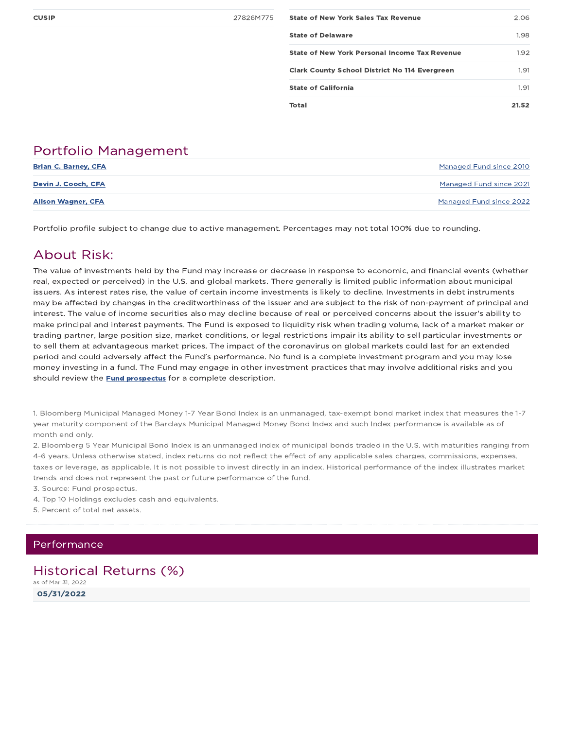| <b>CUSIP</b> | 27826M775 | <b>State of New York Sales Tax Revenue</b>           | 2.06  |
|--------------|-----------|------------------------------------------------------|-------|
|              |           | <b>State of Delaware</b>                             | 1.98  |
|              |           | State of New York Personal Income Tax Revenue        | 1.92  |
|              |           | <b>Clark County School District No 114 Evergreen</b> | 1.91  |
|              |           | <b>State of California</b>                           | 1.91  |
|              |           | Total                                                | 21.52 |

# Portfolio Management

| <b>Brian C. Barney, CFA</b> | Managed Fund since 2010 |
|-----------------------------|-------------------------|
| Devin J. Cooch, CFA         | Managed Fund since 2021 |
| <b>Alison Wagner, CFA</b>   | Managed Fund since 2022 |

Portfolio profile subject to change due to active management. Percentages may not total 100% due to rounding.

# About Risk:

The value of investments held by the Fund may increase or decrease in response to economic, and financial events (whether real, expected or perceived) in the U.S. and global markets. There generally is limited public information about municipal issuers. As interest rates rise, the value of certain income investments is likely to decline. Investments in debt instruments may be affected by changes in the creditworthiness of the issuer and are subject to the risk of non-payment of principal and interest. The value of income securities also may decline because of real or perceived concerns about the issuer's ability to make principal and interest payments. The Fund is exposed to liquidity risk when trading volume, lack of a market maker or trading partner, large position size, market conditions, or legal restrictions impair its ability to sell particular investments or to sell them at advantageous market prices. The impact of the coronavirus on global markets could last for an extended period and could adversely affect the Fund's performance. No fund is a complete investment program and you may lose money investing in a fund. The Fund may engage in other investment practices that may involve additional risks and you should review the **Fund prospectus** for a complete description.

1. Bloomberg Municipal Managed Money 1-7 Year Bond Index is an unmanaged, tax-exempt bond market index that measures the 1-7 year maturity component of the Barclays Municipal Managed Money Bond Index and such Index performance is available as of month end only.

2. Bloomberg 5 Year Municipal Bond Index is an unmanaged index of municipal bonds traded in the U.S. with maturities ranging from 4-6 years. Unless otherwise stated, index returns do not reflect the effect of any applicable sales charges, commissions, expenses, taxes or leverage, as applicable. It is not possible to invest directly in an index. Historical performance of the index illustrates market trends and does not represent the past or future performance of the fund.

3. Source: Fund prospectus.

- 4. Top 10 Holdings excludes cash and equivalents.
- 5. Percent of total net assets.

### Performance

### Historical Returns (%) as of Mar 31, 2022

05/31/2022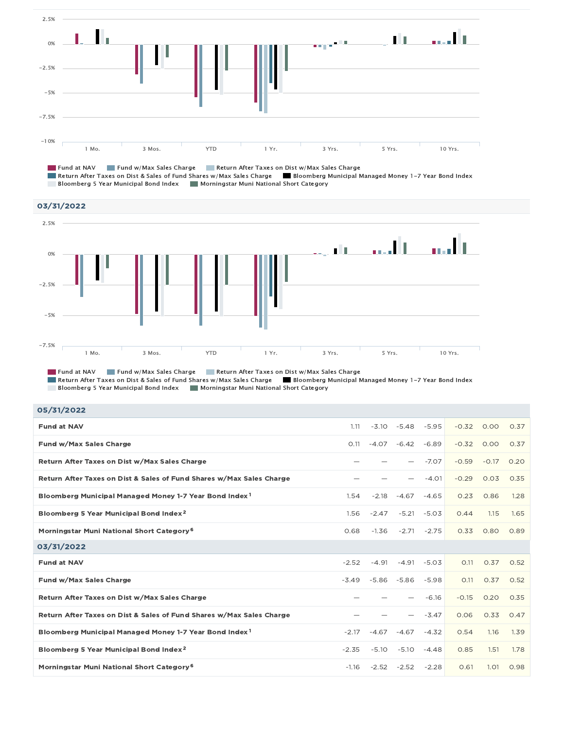

Fund at NAV Fund w/Max Sales Charge Return After Taxes on Dist w/Max Sales Charge Return After Taxes on Dist & Sales of Fund Shares w/Max Sales Charge Bloomberg Municipal Managed Money 1-7 Year Bond Index Bloomberg 5 Year Municipal Bond Index Muningstar Muni National Short Category



Fund at NAV Fund w/Max Sales Charge Return After Taxes on Dist w/Max Sales Charge Return After Taxes on Dist & Sales of Fund Shares w/Max Sales Charge Bloomberg Municipal Managed Money 1-7 Year Bond Index Bloomberg 5 Year Municipal Bond Index Muningstar Muni National Short Category

| 05/31/2022 |  |
|------------|--|
|------------|--|

| <b>Fund at NAV</b>                                                   | 1.11    | $-3.10$ | $-5.48$        | $-5.95$ | $-0.32$ | 0.00    | 0.37 |
|----------------------------------------------------------------------|---------|---------|----------------|---------|---------|---------|------|
| Fund w/Max Sales Charge                                              | 0.11    | $-4.07$ | $-6.42$        | $-6.89$ | $-0.32$ | 0.00    | 0.37 |
| Return After Taxes on Dist w/Max Sales Charge                        |         |         |                | $-7.07$ | $-0.59$ | $-0.17$ | 0.20 |
| Return After Taxes on Dist & Sales of Fund Shares w/Max Sales Charge |         |         |                | $-4.01$ | $-0.29$ | 0.03    | 0.35 |
| Bloomberg Municipal Managed Money 1-7 Year Bond Index <sup>1</sup>   | 1.54    | $-2.18$ | $-4.67$        | $-4.65$ | 0.23    | 0.86    | 1.28 |
| Bloomberg 5 Year Municipal Bond Index <sup>2</sup>                   | 1.56    | $-2.47$ | $-5.21$        | $-5.03$ | 0.44    | 1.15    | 1.65 |
| Morningstar Muni National Short Category <sup>6</sup>                | 0.68    | $-1.36$ | $-2.71$        | $-2.75$ | 0.33    | 0.80    | 0.89 |
| 03/31/2022                                                           |         |         |                |         |         |         |      |
| <b>Fund at NAV</b>                                                   | $-2.52$ | $-4.91$ | $-4.91$        | $-5.03$ | O.11    | 0.37    | 0.52 |
| Fund w/Max Sales Charge                                              | $-3.49$ |         | $-5.86 - 5.86$ | $-5.98$ | O.11    | 0.37    | 0.52 |
| Return After Taxes on Dist w/Max Sales Charge                        |         |         |                | $-6.16$ | $-0.15$ | 0.20    | 0.35 |
| Return After Taxes on Dist & Sales of Fund Shares w/Max Sales Charge |         |         |                | $-3.47$ | 0.06    | 0.33    | O.47 |
| Bloomberg Municipal Managed Money 1-7 Year Bond Index <sup>1</sup>   | $-2.17$ | $-4.67$ | $-4.67$        | $-4.32$ | 0.54    | 1.16    | 1.39 |
| Bloomberg 5 Year Municipal Bond Index <sup>2</sup>                   | $-2.35$ | $-5.10$ | $-5.10$        | $-4.48$ | 0.85    | 1.51    | 1.78 |
| Morningstar Muni National Short Category <sup>6</sup>                | $-1.16$ |         | $-2.52 - 2.52$ | $-2.28$ | 0.61    | 1.01    | 0.98 |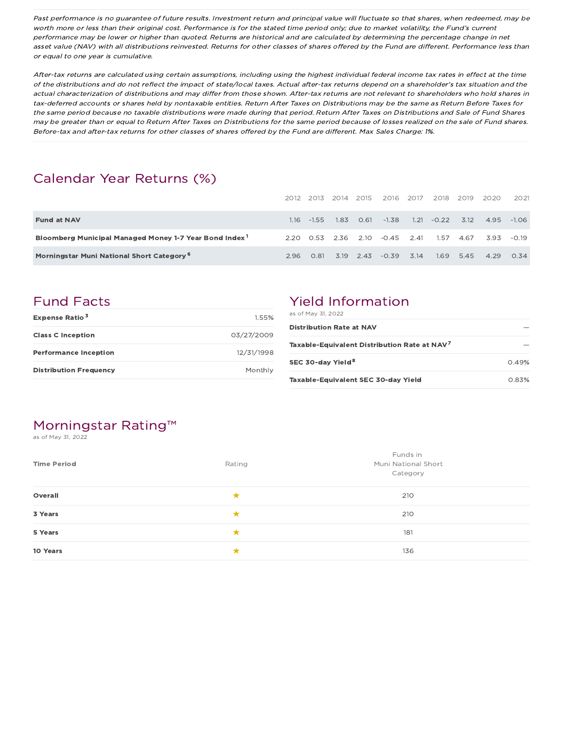Past performance is no guarantee of future results. Investment return and principal value will fluctuate so that shares, when redeemed, may be worth more or less than their original cost. Performance is for the stated time period only; due to market volatility, the Fund's current performance may be lower or higher than quoted. Returns are historical and are calculated by determining the percentage change in net asset value (NAV) with all distributions reinvested. Returns for other classes of shares offered by the Fund are different. Performance less than or equal to one year is cumulative.

After-tax returns are calculated using certain assumptions, including using the highest individual federal income tax rates in effect at the time of the distributions and do not reflect the impact of state/local taxes. Actual after-tax returns depend on <sup>a</sup> shareholder's tax situation and the actual characterization of distributions and may differ from those shown. After-tax returns are not relevant to shareholders who hold shares in tax-deferred accounts or shares held by nontaxable entities. Return After Taxes on Distributions may be the same as Return Before Taxes for the same period because no taxable distributions were made during that period. Return After Taxes on Distributions and Sale of Fund Shares may be greater than or equal to Return After Taxes on Distributions for the same period because of losses realized on the sale of Fund shares. Before-tax and after-tax returns for other classes of shares offered by the Fund are different. Max Sales Charge: 1%.

# Calendar Year Returns (%)

|                                                                    |     |               | 2012 2013 2014 | 2015 | 2016         | 2017 | 2018    | 2019 | 2020 | 2021        |
|--------------------------------------------------------------------|-----|---------------|----------------|------|--------------|------|---------|------|------|-------------|
| <b>Fund at NAV</b>                                                 |     | $1.16 - 1.55$ | 1.83           | 0.61 | $-1.38$      | 1.21 | $-0.22$ | 3.12 | 4.95 | $-1.06$     |
| Bloomberg Municipal Managed Money 1-7 Year Bond Index <sup>1</sup> |     | 2.20 0.53     | 2.36           | 2.10 | $-0.45$ 2.41 |      | 1.57    | 4.67 | 393  | $-0.19$     |
| Morningstar Muni National Short Category <sup>6</sup>              | 296 | 0.81          | 3.19           | 2.43 | $-0.39$      | 3.14 | 1.69    | 5.45 | 4.29 | $\Omega$ 34 |

# Fund Facts

| <b>Expense Ratio<sup>3</sup></b> | 1.55%      |
|----------------------------------|------------|
| <b>Class C Inception</b>         | 03/27/2009 |
| <b>Performance Inception</b>     | 12/31/1998 |
| <b>Distribution Frequency</b>    | Monthly    |

# Yield Information

| as of May 31, 2022                                       |       |
|----------------------------------------------------------|-------|
| <b>Distribution Rate at NAV</b>                          |       |
| Taxable-Equivalent Distribution Rate at NAV <sup>7</sup> |       |
| SEC 30-day Yield <sup>8</sup>                            | 0.49% |
| Taxable-Equivalent SEC 30-day Yield                      | 0.83% |

# Morningstar Rating™

as of May 31, 2022

| <b>Time Period</b> | Rating | Funds in<br>Muni National Short<br>Category |
|--------------------|--------|---------------------------------------------|
| Overall            | ★      | 210                                         |
| 3 Years            | ★      | 210                                         |
| 5 Years            | ★      | 181                                         |
| 10 Years           | ★      | 136                                         |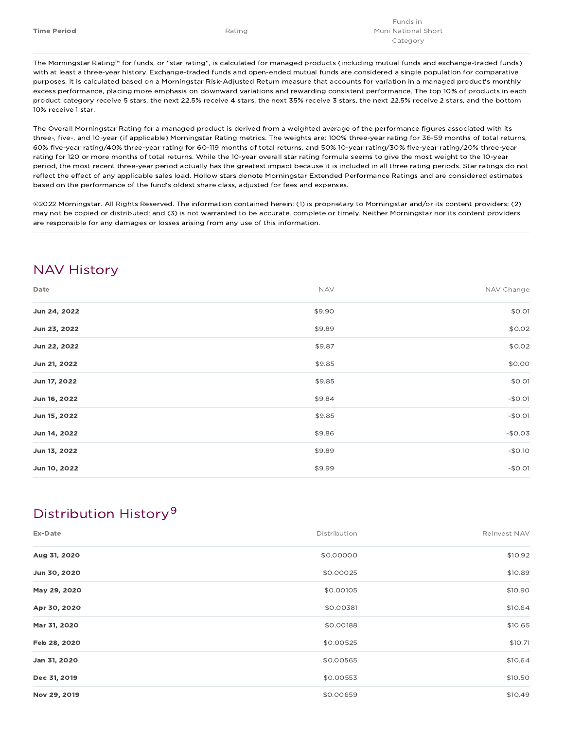The Morningstar Rating™ for funds, or "star rating", is calculated for managed products (including mutual funds and exchange-traded funds) with at least a three-year history. Exchange-traded funds and open-ended mutual funds are considered a single population for comparative purposes. It is calculated based on a Morningstar Risk-Adjusted Return measure that accounts for variation in a managed product's monthly excess performance, placing more emphasis on downward variations and rewarding consistent performance. The top 10% of products in each product category receive 5 stars, the next 22.5% receive 4 stars, the next 35% receive 3 stars, the next 22.5% receive 2 stars, and the bottom 10% receive 1 star.

The Overall Morningstar Rating for a managed product is derived from a weighted average of the performance figures associated with its three-, five-, and 10-year (if applicable) Morningstar Rating metrics. The weights are: 100% three-year rating for 36-59 months of total returns, 60% five-year rating/40% three-year rating for 60-119 months of total returns, and 50% 10-year rating/30% five-year rating/20% three-year rating for 120 or more months of total returns. While the 10-year overall star rating formula seems to give the most weight to the 10-year period, the most recent three-year period actually has the greatest impact because it is included in all three rating periods. Star ratings do not reflect the effect of any applicable sales load. Hollow stars denote Morningstar Extended Performance Ratings and are considered estimates based on the performance of the fund's oldest share class, adjusted for fees and expenses.

©2022 Morningstar. All Rights Reserved. The information contained herein: (1) is proprietary to Morningstar and/or its content providers; (2) may not be copied or distributed; and (3) is not warranted to be accurate, complete or timely. Neither Morningstar nor its content providers are responsible for any damages or losses arising from any use of this information.

# NAV History

| Date         | <b>NAV</b> | NAV Change |
|--------------|------------|------------|
| Jun 24, 2022 | \$9.90     | \$0.01     |
| Jun 23, 2022 | \$9.89     | \$0.02     |
| Jun 22, 2022 | \$9.87     | \$0.02     |
| Jun 21, 2022 | \$9.85     | \$0.00     |
| Jun 17, 2022 | \$9.85     | \$0.01     |
| Jun 16, 2022 | \$9.84     | $-$0.01$   |
| Jun 15, 2022 | \$9.85     | $-$0.01$   |
| Jun 14, 2022 | \$9.86     | $-$0.03$   |
| Jun 13, 2022 | \$9.89     | $-$0.10$   |
| Jun 10, 2022 | \$9.99     | $-$0.01$   |

# Distribution History 9

| Ex-Date      | Distribution | Reinvest NAV |
|--------------|--------------|--------------|
| Aug 31, 2020 | \$0.00000    | \$10.92      |
| Jun 30, 2020 | \$0.00025    | \$10.89      |
| May 29, 2020 | \$0.00105    | \$10.90      |
| Apr 30, 2020 | \$0.00381    | \$10.64      |
| Mar 31, 2020 | \$0.00188    | \$10.65      |
| Feb 28, 2020 | \$0.00525    | \$10.71      |
| Jan 31, 2020 | \$0.00565    | \$10.64      |
| Dec 31, 2019 | \$0.00553    | \$10.50      |
| Nov 29, 2019 | \$0.00659    | \$10.49      |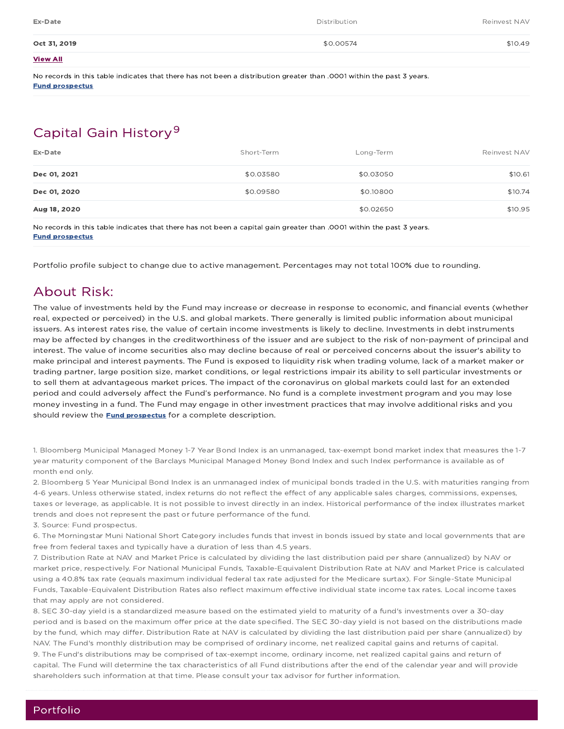| Ex-Date         | Distribution | Reinvest NAV |
|-----------------|--------------|--------------|
| Oct 31, 2019    | \$0.00574    | \$10.49      |
| <b>View All</b> |              |              |

No records in this table indicates that there has not been a distribution greater than .0001 within the past 3 years. Fund prospectus

# Capital Gain History<sup>9</sup>

| Ex-Date      | Short-Term | Long-Term | Reinvest NAV |
|--------------|------------|-----------|--------------|
| Dec 01, 2021 | \$0.03580  | \$0.03050 | \$10.61      |
| Dec 01, 2020 | \$0.09580  | \$0.10800 | \$10.74      |
| Aug 18, 2020 |            | \$0.02650 | \$10.95      |

No records in this table indicates that there has not been a capital gain greater than .0001 within the past 3 years. Fund prospectus

Portfolio profile subject to change due to active management. Percentages may not total 100% due to rounding.

# About Risk:

The value of investments held by the Fund may increase or decrease in response to economic, and financial events (whether real, expected or perceived) in the U.S. and global markets. There generally is limited public information about municipal issuers. As interest rates rise, the value of certain income investments is likely to decline. Investments in debt instruments may be affected by changes in the creditworthiness of the issuer and are subject to the risk of non-payment of principal and interest. The value of income securities also may decline because of real or perceived concerns about the issuer's ability to make principal and interest payments. The Fund is exposed to liquidity risk when trading volume, lack of a market maker or trading partner, large position size, market conditions, or legal restrictions impair its ability to sell particular investments or to sell them at advantageous market prices. The impact of the coronavirus on global markets could last for an extended period and could adversely affect the Fund's performance. No fund is a complete investment program and you may lose money investing in a fund. The Fund may engage in other investment practices that may involve additional risks and you should review the **Fund prospectus** for a complete description.

1. Bloomberg Municipal Managed Money 1-7 Year Bond Index is an unmanaged, tax-exempt bond market index that measures the 1-7 year maturity component of the Barclays Municipal Managed Money Bond Index and such Index performance is available as of month end only.

2. Bloomberg 5 Year Municipal Bond Index is an unmanaged index of municipal bonds traded in the U.S. with maturities ranging from 4-6 years. Unless otherwise stated, index returns do not reflect the effect of any applicable sales charges, commissions, expenses, taxes or leverage, as applicable. It is not possible to invest directly in an index. Historical performance of the index illustrates market trends and does not represent the past or future performance of the fund.

3. Source: Fund prospectus.

6. The Morningstar Muni National Short Category includes funds that invest in bonds issued by state and local governments that are free from federal taxes and typically have a duration of less than 4.5 years.

7. Distribution Rate at NAV and Market Price is calculated by dividing the last distribution paid per share (annualized) by NAV or market price, respectively. For National Municipal Funds, Taxable-Equivalent Distribution Rate at NAV and Market Price is calculated using a 40.8% tax rate (equals maximum individual federal tax rate adjusted for the Medicare surtax). For Single-State Municipal Funds, Taxable-Equivalent Distribution Rates also reflect maximum effective individual state income tax rates. Local income taxes that may apply are not considered.

8. SEC 30-day yield is a standardized measure based on the estimated yield to maturity of a fund's investments over a 30-day period and is based on the maximum offer price at the date specified. The SEC 30-day yield is not based on the distributions made by the fund, which may differ. Distribution Rate at NAV is calculated by dividing the last distribution paid per share (annualized) by NAV. The Fund's monthly distribution may be comprised of ordinary income, net realized capital gains and returns of capital. 9. The Fund's distributions may be comprised of tax-exempt income, ordinary income, net realized capital gains and return of capital. The Fund will determine the tax characteristics of all Fund distributions after the end of the calendar year and will provide shareholders such information at that time. Please consult your tax advisor for further information.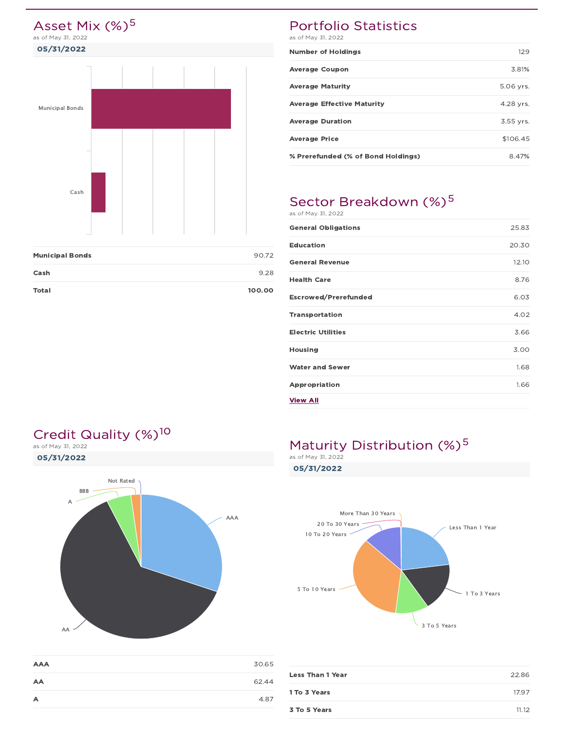

| Total                  | 100.00 |
|------------------------|--------|
| Cash                   | 9.28   |
| <b>Municipal Bonds</b> | 90.72  |

# Portfolio Statistics

as of May 31, 2022

| <b>Number of Holdings</b>          | 129       |
|------------------------------------|-----------|
| <b>Average Coupon</b>              | 3.81%     |
| <b>Average Maturity</b>            | 5.06 yrs. |
| <b>Average Effective Maturity</b>  | 4.28 yrs. |
| <b>Average Duration</b>            | 3.55 yrs. |
| <b>Average Price</b>               | \$106.45  |
| % Prerefunded (% of Bond Holdings) | 8.47%     |

# Sector Breakdown (%)<sup>5</sup> as of May 31, 2022

| <b>General Obligations</b> | 25.83 |
|----------------------------|-------|
| <b>Education</b>           | 20.30 |
| <b>General Revenue</b>     | 12.10 |
| <b>Health Care</b>         | 8.76  |
| Escrowed/Prerefunded       | 6.03  |
| <b>Transportation</b>      | 4.02  |
| <b>Electric Utilities</b>  | 3.66  |
| <b>Housing</b>             | 3.00  |
| <b>Water and Sewer</b>     | 1.68  |
| Appropriation              | 1.66  |
| <b>View All</b>            |       |

# Credit Quality (%)<sup>10</sup>

05/31/2022 as of May 31, 2022



| <b>AAA</b> | 30.65 |
|------------|-------|
| AA         | 62.44 |
| А          | 4.87  |

# Maturity Distribution  $(%)^5$

05/31/2022



| <b>Less Than 1 Year</b> | 22.86 |
|-------------------------|-------|
|                         |       |
| 1 To 3 Years            | 17.97 |
|                         |       |
| 3 To 5 Years            | 11.12 |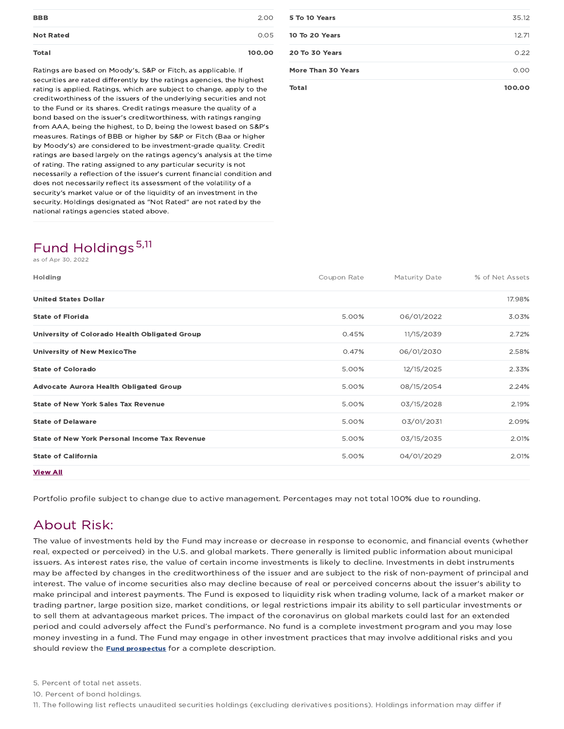| 2.00<br><b>BBB</b><br><b>Not Rated</b><br>0.05 | Total | 100.00 |
|------------------------------------------------|-------|--------|
|                                                |       |        |
|                                                |       |        |

Ratings are based on Moody's, S&P or Fitch, as applicable. If securities are rated differently by the ratings agencies, the highest rating is applied. Ratings, which are subject to change, apply to the creditworthiness of the issuers of the underlying securities and not to the Fund or its shares. Credit ratings measure the quality of a bond based on the issuer's creditworthiness, with ratings ranging from AAA, being the highest, to D, being the lowest based on S&P's measures. Ratings of BBB or higher by S&P or Fitch (Baa or higher by Moody's) are considered to be investment-grade quality. Credit ratings are based largely on the ratings agency's analysis at the time of rating. The rating assigned to any particular security is not necessarily a reflection of the issuer's current financial condition and does not necessarily reflect its assessment of the volatility of a security's market value or of the liquidity of an investment in the security. Holdings designated as "Not Rated" are not rated by the national ratings agencies stated above.

# Fund Holdings 5,11

s of Apr 30, 2022

| <b>Holding</b>                                       | Coupon Rate | <b>Maturity Date</b> | % of Net Assets |
|------------------------------------------------------|-------------|----------------------|-----------------|
| <b>United States Dollar</b>                          |             |                      | 17.98%          |
| <b>State of Florida</b>                              | 5.00%       | 06/01/2022           | 3.03%           |
| University of Colorado Health Obligated Group        | 0.45%       | 11/15/2039           | 2.72%           |
| <b>University of New MexicoThe</b>                   | 0.47%       | 06/01/2030           | 2.58%           |
| <b>State of Colorado</b>                             | 5.00%       | 12/15/2025           | 2.33%           |
| <b>Advocate Aurora Health Obligated Group</b>        | 5.00%       | 08/15/2054           | 2.24%           |
| <b>State of New York Sales Tax Revenue</b>           | 5.00%       | 03/15/2028           | 2.19%           |
| <b>State of Delaware</b>                             | 5.00%       | 03/01/2031           | 2.09%           |
| <b>State of New York Personal Income Tax Revenue</b> | 5.00%       | 03/15/2035           | 2.01%           |
| <b>State of California</b>                           | 5.00%       | 04/01/2029           | 2.01%           |
| <b>View All</b>                                      |             |                      |                 |

Portfolio profile subject to change due to active management. Percentages may not total 100% due to rounding.

# About Risk:

The value of investments held by the Fund may increase or decrease in response to economic, and financial events (whether real, expected or perceived) in the U.S. and global markets. There generally is limited public information about municipal issuers. As interest rates rise, the value of certain income investments is likely to decline. Investments in debt instruments may be affected by changes in the creditworthiness of the issuer and are subject to the risk of non-payment of principal and interest. The value of income securities also may decline because of real or perceived concerns about the issuer's ability to make principal and interest payments. The Fund is exposed to liquidity risk when trading volume, lack of a market maker or trading partner, large position size, market conditions, or legal restrictions impair its ability to sell particular investments or to sell them at advantageous market prices. The impact of the coronavirus on global markets could last for an extended period and could adversely affect the Fund's performance. No fund is a complete investment program and you may lose money investing in a fund. The Fund may engage in other investment practices that may involve additional risks and you should review the **Fund prospectus** for a complete description.

10. Percent of bond holdings.

11. The following list reflects unaudited securities holdings (excluding derivatives positions). Holdings information may differ if

| More Than 30 Years | 0.00  |
|--------------------|-------|
| 20 To 30 Years     | 0.22  |
| 10 To 20 Years     | 12.71 |
| 5 To 10 Years      | 35.12 |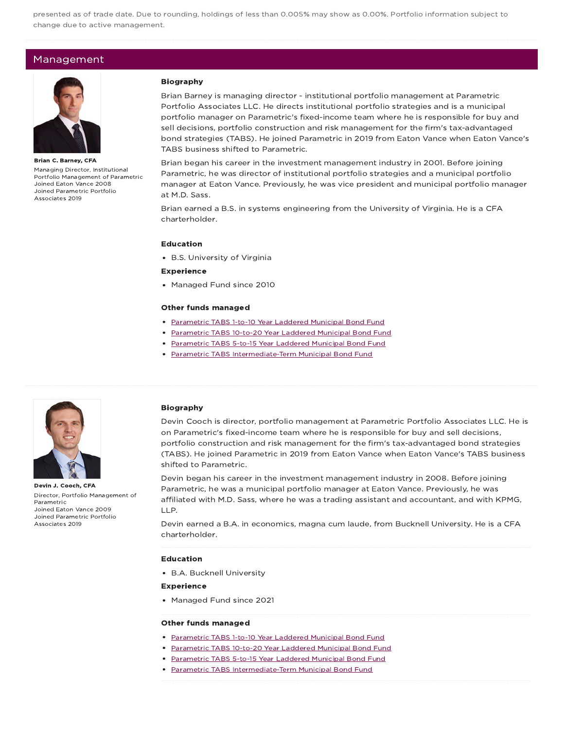presented as of trade date. Due to rounding, holdings of less than 0.005% may show as 0.00%. Portfolio information subject to change due to active management.

### Management



Brian C. Barney, CFA Managing Director, Institutional Portfolio Management of Parametric Joined Eaton Vance 2008 Joined Parametric Portfolio Associates 2019

#### Biography

Brian Barney is managing director - institutional portfolio management at Parametric Portfolio Associates LLC. He directs institutional portfolio strategies and is a municipal portfolio manager on Parametric's fixed-income team where he is responsible for buy and sell decisions, portfolio construction and risk management for the firm's tax-advantaged bond strategies (TABS). He joined Parametric in 2019 from Eaton Vance when Eaton Vance's TABS business shifted to Parametric.

Brian began his career in the investment management industry in 2001. Before joining Parametric, he was director of institutional portfolio strategies and a municipal portfolio manager at Eaton Vance. Previously, he was vice president and municipal portfolio manager at M.D. Sass.

Brian earned a B.S. in systems engineering from the University of Virginia. He is a CFA charterholder.

### Education

B.S. University of Virginia

#### Experience

• Managed Fund since 2010

#### Other funds managed

- Parametric TABS 1-to-10 Year Laddered Municipal Bond Fund
- Parametric TABS 10-to-20 Year Laddered Municipal Bond Fund
- Parametric TABS 5-to-15 Year Laddered Municipal Bond Fund
- Parametric TABS Intermediate-Term Municipal Bond Fund



Devin J. Cooch, CFA Director, Portfolio Management of Parametric Joined Eaton Vance 2009 Joined Parametric Portfolio Associates 2019

#### Biography

Devin Cooch is director, portfolio management at Parametric Portfolio Associates LLC. He is on Parametric's fixed-income team where he is responsible for buy and sell decisions, portfolio construction and risk management for the firm's tax-advantaged bond strategies (TABS). He joined Parametric in 2019 from Eaton Vance when Eaton Vance's TABS business shifted to Parametric.

Devin began his career in the investment management industry in 2008. Before joining Parametric, he was a municipal portfolio manager at Eaton Vance. Previously, he was affiliated with M.D. Sass, where he was a trading assistant and accountant, and with KPMG, LLP.

Devin earned a B.A. in economics, magna cum laude, from Bucknell University. He is a CFA charterholder.

#### Education

B.A. Bucknell University

#### Experience

• Managed Fund since 2021

#### Other funds managed

- Parametric TABS 1-to-10 Year Laddered Municipal Bond Fund
- Parametric TABS 10-to-20 Year Laddered Municipal Bond Fund
- Parametric TABS 5-to-15 Year Laddered Municipal Bond Fund
- Parametric TABS Intermediate-Term Municipal Bond Fund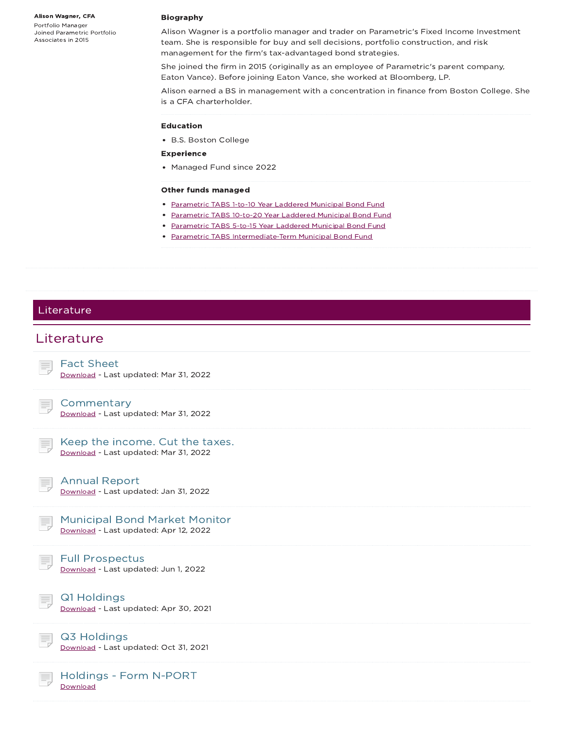Alison Wagner, CFA

Portfolio Manager Joined Parametric Portfolio Associates in 2015

#### Biography

Alison Wagner is a portfolio manager and trader on Parametric's Fixed Income Investment team. She is responsible for buy and sell decisions, portfolio construction, and risk management for the firm's tax-advantaged bond strategies.

She joined the firm in 2015 (originally as an employee of Parametric's parent company, Eaton Vance). Before joining Eaton Vance, she worked at Bloomberg, LP.

Alison earned a BS in management with a concentration in finance from Boston College. She is a CFA charterholder.

#### Education

B.S. Boston College

#### Experience

Managed Fund since 2022

#### Other funds managed

- Parametric TABS 1-to-10 Year Laddered Municipal Bond Fund
- Parametric TABS 10-to-20 Year Laddered Municipal Bond Fund
- Parametric TABS 5-to-15 Year Laddered Municipal Bond Fund
- Parametric TABS Intermediate-Term Municipal Bond Fund

### Literature

# **Literature**

Fact Sheet Download - Last updated: Mar 31, 2022

Download - Last updated: Mar 31, 2022

### Keep the income. Cut the taxes. Download - Last updated: Mar 31, 2022

Annual Report

**Commentary** 

Download - Last updated: Jan 31, 2022

| <b>Municipal Bond Market Monitor</b>  |
|---------------------------------------|
| Download - Last updated: Apr 12, 2022 |

### Full Prospectus

Download - Last updated: Jun 1, 2022



Q1 Holdings

Download - Last updated: Apr 30, 2021

### Q3 Holdings

Download - Last updated: Oct 31, 2021

### Holdings - Form N-PORT **Download**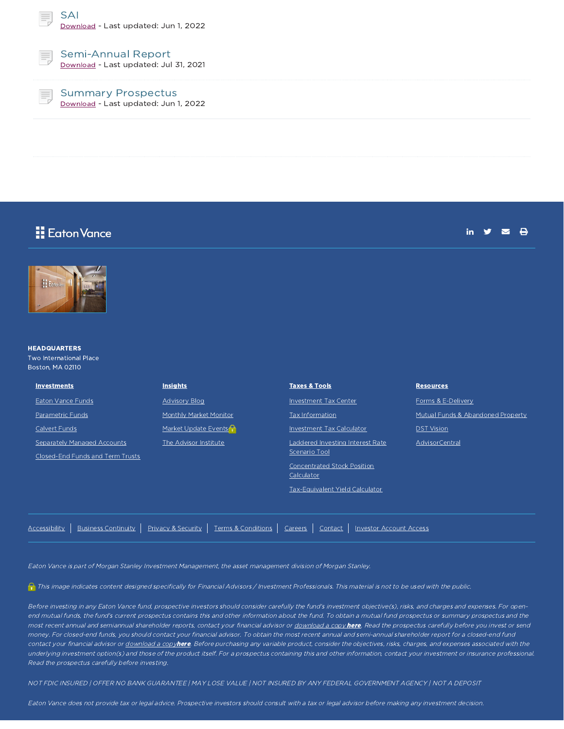SAI Download - Last updated: Jun 1, 2022



### Semi-Annual Report

Download - Last updated: Jul 31, 2021

Summary Prospectus Download - Last updated: Jun 1, 2022

# Eaton Vance

in  $y = \theta$ 



#### **HEADQUARTERS**

Two International Place Boston, MA 02110

| <b>Investments</b>                                              | <b>Insights</b>        | <b>Taxes &amp; Tools</b>                                                                                                                 | <b>Resources</b>                  |
|-----------------------------------------------------------------|------------------------|------------------------------------------------------------------------------------------------------------------------------------------|-----------------------------------|
| Eaton Vance Funds                                               | <b>Advisory Blog</b>   | Investment Tax Center                                                                                                                    | Forms & E-Delivery                |
| <b>Parametric Funds</b>                                         | Monthly Market Monitor | Tax Information                                                                                                                          | Mutual Funds & Abandoned Property |
| Calvert Funds                                                   | Market Update Events   | Investment Tax Calculator                                                                                                                | <b>DST Vision</b>                 |
| Separately Managed Accounts<br>Closed-End Funds and Term Trusts | The Advisor Institute  | Laddered Investing Interest Rate<br>Scenario Tool<br><b>Concentrated Stock Position</b><br>Calculator<br>Tax-Equivalent Yield Calculator | AdvisorCentral                    |

Eaton Vance is part of Morgan Stanley Investment Management, the asset management division of Morgan Stanley.

This image indicates content designed specifically for Financial Advisors / Investment Professionals. This material is not to be used with the public.

Accessibility | Business Continuity | Privacy & Security | Terms & Conditions | Careers | Contact | Investor Account Access

Before investing in any Eaton Vance fund, prospective investors should consider carefully the fund's investment objective(s), risks, and charges and expenses. For openend mutual funds, the fund's current prospectus contains this and other information about the fund. To obtain a mutual fund prospectus or summary prospectus and the most recent annual and semiannual shareholder reports, contact your financial advisor or download a copy here. Read the prospectus carefully before you invest or send money. For closed-end funds, you should contact your financial advisor. To obtain the most recent annual and semi-annual shareholder report for <sup>a</sup> closed-end fund contact your financial advisor or download a copyhere. Before purchasing any variable product, consider the objectives, risks, charges, and expenses associated with the underlying investment option(s) and those of the product itself. For a prospectus containing this and other information, contact your investment or insurance professional. Read the prospectus carefully before investing.

NOT FDIC INSURED | OFFER NO BANK GUARANTEE | MAY LOSE VALUE | NOT INSURED BY ANY FEDERAL GOVERNMENT AGENCY | NOT A DEPOSIT

Eaton Vance does not provide tax or legal advice. Prospective investors should consult with <sup>a</sup> tax or legal advisor before making any investment decision.